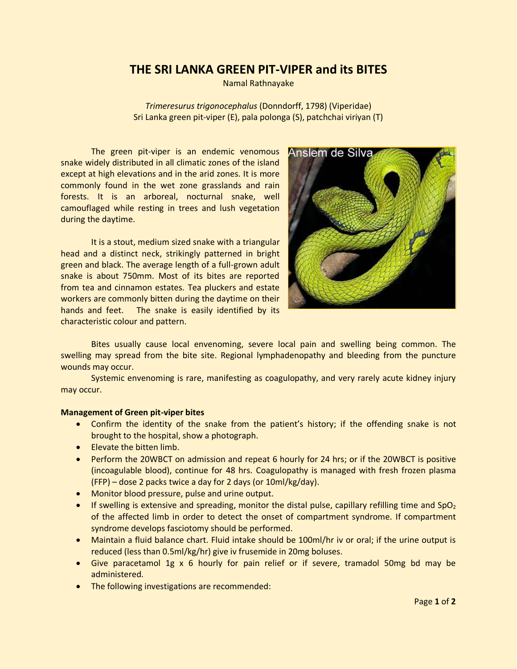## **THE SRI LANKA GREEN PIT-VIPER and its BITES**

Namal Rathnayake

*Trimeresurus trigonocephalus* (Donndorff, 1798) (Viperidae) Sri Lanka green pit-viper (E), pala polonga (S), patchchai viriyan (T)

The green pit-viper is an endemic venomous snake widely distributed in all climatic zones of the island except at high elevations and in the arid zones. It is more commonly found in the wet zone [grasslands](http://en.wikipedia.org/wiki/Grasslands) and [rain](http://en.wikipedia.org/wiki/Rain_forest)  [forests](http://en.wikipedia.org/wiki/Rain_forest). It is an arboreal, nocturnal snake, well camouflaged while resting in trees and lush vegetation during the daytime.

It is a stout, medium sized snake with a triangular head and a distinct neck, strikingly patterned in bright green and black. The average length of a full-grown adult snake is about 750mm. Most of its bites are reported from tea and cinnamon estates. Tea pluckers and estate workers are commonly bitten during the daytime on their hands and feet. The snake is easily identified by its characteristic colour and pattern.



Bites usually cause local envenoming, severe local pain and swelling being common. The swelling may spread from the bite site. Regional lymphadenopathy and bleeding from the puncture wounds may occur.

Systemic envenoming is rare, manifesting as coagulopathy, and very rarely acute kidney injury may occur.

## **Management of Green pit-viper bites**

- Confirm the identity of the snake from the patient's history; if the offending snake is not brought to the hospital, show a photograph.
- Elevate the bitten limb.
- Perform the 20WBCT on admission and repeat 6 hourly for 24 hrs; or if the 20WBCT is positive (incoagulable blood), continue for 48 hrs. Coagulopathy is managed with fresh frozen plasma (FFP) – dose 2 packs twice a day for 2 days (or 10ml/kg/day).
- Monitor blood pressure, pulse and urine output.
- If swelling is extensive and spreading, monitor the distal pulse, capillary refilling time and  $SpO<sub>2</sub>$ of the affected limb in order to detect the onset of compartment syndrome. If compartment syndrome develops fasciotomy should be performed.
- Maintain a fluid balance chart. Fluid intake should be 100ml/hr iv or oral; if the urine output is reduced (less than 0.5ml/kg/hr) give iv frusemide in 20mg boluses.
- Give paracetamol 1g x 6 hourly for pain relief or if severe, tramadol 50mg bd may be administered.
- The following investigations are recommended: